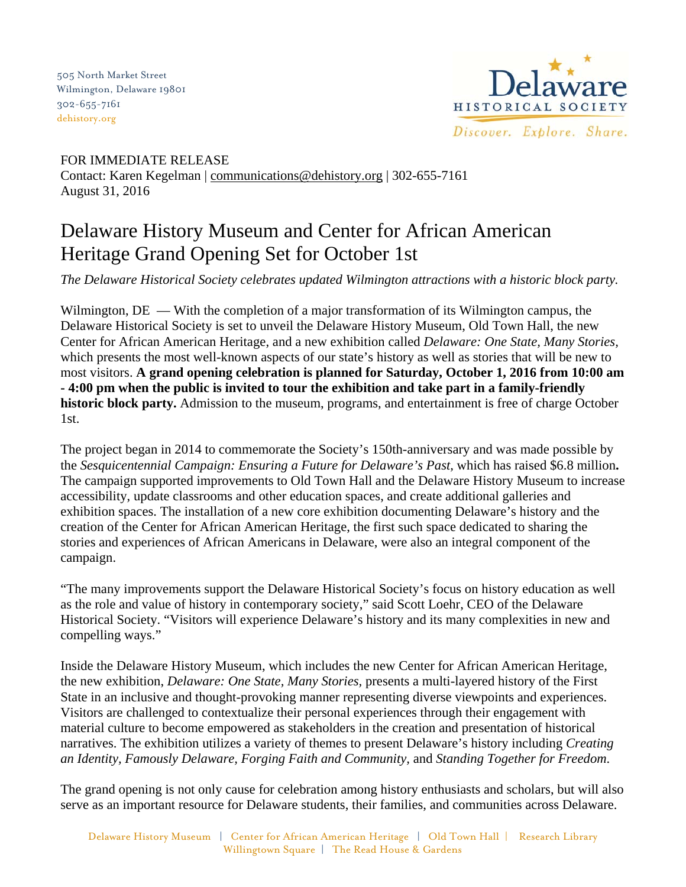505 North Market Street Wilmington, Delaware 19801 302-655-7161 dehistory.org



FOR IMMEDIATE RELEASE Contact: Karen Kegelman | communications@dehistory.org | 302-655-7161 August 31, 2016

## Delaware History Museum and Center for African American Heritage Grand Opening Set for October 1st

*The Delaware Historical Society celebrates updated Wilmington attractions with a historic block party.* 

Wilmington,  $DE$  — With the completion of a major transformation of its Wilmington campus, the Delaware Historical Society is set to unveil the Delaware History Museum, Old Town Hall, the new Center for African American Heritage, and a new exhibition called *Delaware: One State, Many Stories,*  which presents the most well-known aspects of our state's history as well as stories that will be new to most visitors. **A grand opening celebration is planned for Saturday, October 1, 2016 from 10:00 am - 4:00 pm when the public is invited to tour the exhibition and take part in a family-friendly historic block party.** Admission to the museum, programs, and entertainment is free of charge October 1st.

The project began in 2014 to commemorate the Society's 150th-anniversary and was made possible by the *Sesquicentennial Campaign: Ensuring a Future for Delaware's Past,* which has raised \$6.8 million**.**  The campaign supported improvements to Old Town Hall and the Delaware History Museum to increase accessibility, update classrooms and other education spaces, and create additional galleries and exhibition spaces. The installation of a new core exhibition documenting Delaware's history and the creation of the Center for African American Heritage, the first such space dedicated to sharing the stories and experiences of African Americans in Delaware, were also an integral component of the campaign.

"The many improvements support the Delaware Historical Society's focus on history education as well as the role and value of history in contemporary society," said Scott Loehr, CEO of the Delaware Historical Society. "Visitors will experience Delaware's history and its many complexities in new and compelling ways."

Inside the Delaware History Museum, which includes the new Center for African American Heritage, the new exhibition, *Delaware: One State, Many Stories,* presents a multi-layered history of the First State in an inclusive and thought-provoking manner representing diverse viewpoints and experiences. Visitors are challenged to contextualize their personal experiences through their engagement with material culture to become empowered as stakeholders in the creation and presentation of historical narratives. The exhibition utilizes a variety of themes to present Delaware's history including *Creating an Identity, Famously Delaware, Forging Faith and Community,* and *Standing Together for Freedom*.

The grand opening is not only cause for celebration among history enthusiasts and scholars, but will also serve as an important resource for Delaware students, their families, and communities across Delaware.